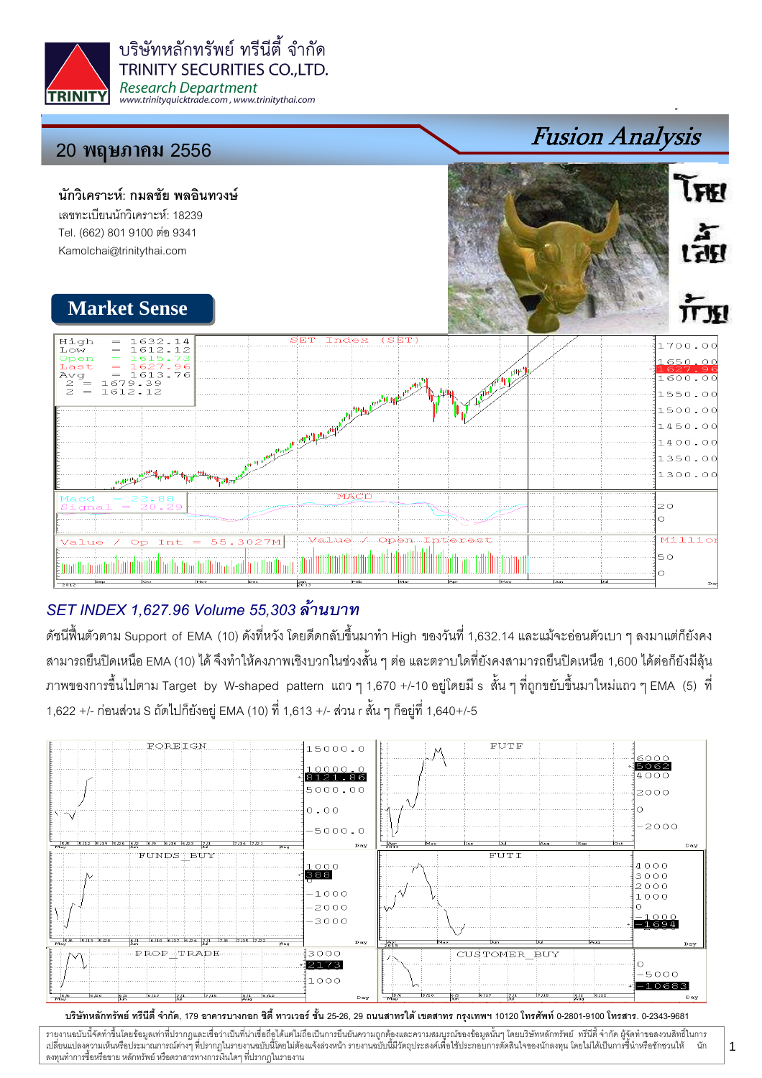

# 20 พฤษภา<mark>คม</mark> 2556

#### นักวิเคราะห์: กมลชัย พลอินทวงษ์ เลขทะเบียนนักวิเคราะห์: 18239 Tel. (662) 801 9100 ต่อ 9341 Kamolchai@trinitythai.com



Fusion Analysis

 $\tilde{l}$ FKI

। तहा

## SET INDEX 1,627.96 Volume 55,303

ดัชนีฟื้นตัวตาม Support of EMA (10) ดังที่หวัง โดยดีดกลับขึ้นมาทำ High ของวันที่ 1,632.14 และแม้จะอ่อนตัวเบา ๆ ลงมาแต่ก็ยังคง สามารถยืนปิดเหนือ EMA (10) ได้ จึงทำให้คงภาพเชิงบวกในช่วงสั้น ๆ ต่อ และตราบใดที่ยังคงสามารถยืนปิดเหนือ 1,600 ได้ต่อก็ยังมีลุ้น ภาพของการขึ้นไปตาม Target by W-shaped pattern แถว ๆ 1,670 +/-10 อยู่โดยมี s สั้น ๆ ที่ถูกขยับขึ้นมาใหม่แถว ๆ EMA (5) ที่ 1,622 +/- ก่อนส่วน S ถัดไปก็ยังอยู่ EMA (10) ที่ 1,613 +/- ส่วน r สั้น ๆ ก็อยู่ที่ 1,640+/-5



บริษัทหลักทรัพย์ ทรีนีตี้ จำกัด, 179 อาคารบางกอก ซิตี้ ทาวเวอร์ ชั้น 25-26, 29 ถนนสาทรใต้ เตตสาห กรุงเทพฯ 10120 โทรศัพท์ 0-2801-9100 โทรสาร. 0-2343-9681

รายงานฉบับนี้จัดทำขึ้นโดยข้อมูลเท่าที่ปรากฏและเชื่อว่าเป็นที่มากขึ้นตั้งเป็นก็ตะบนการตารามสมบูรณ์ของข้อมูลนั้นๆ โดยบริษัทหลักทรัพย์ ทรีนี้ตี้จำกัด ผู้จัดทำขอสงวนสิทธิ์ในการ i เปลี่ยนแปลงความเห็นหรือประมาณการณ์ต่างๆ ที่ปรากฏในรายงานอบับนี้โดย การกระบบกันไม่ได้รับระบบการตัดสินใจของนักลงทุน โดยไม่ได้เป็นการขึ้นำหรือขักชวนให้ นัก ลงทุนทำการซื้อหรือขาย หลักทรัพย์ หรือตราสารทางการเงินใดๆ ที่ปรากฏในรายงาน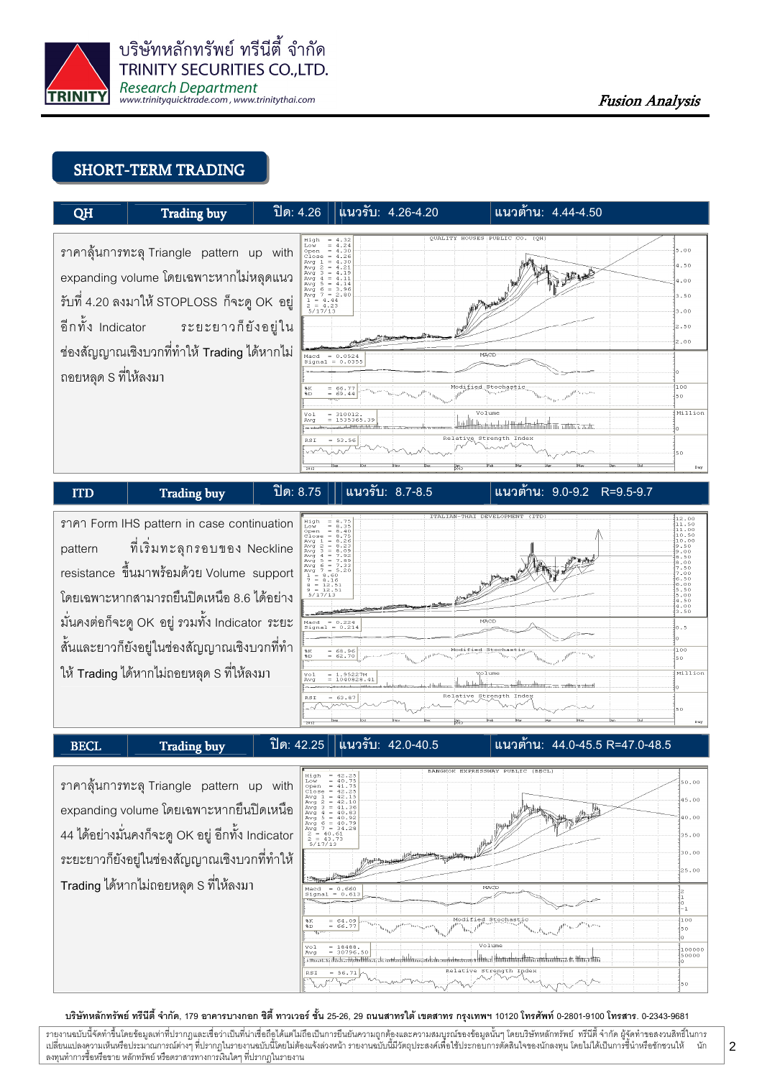

### SHORT-TERM TRADING



I

### $\boxed{\text{ITD}}$  Trading buy  $\boxed{\text{ln}$  8.75  $\boxed{\text{ln}$  8.7-8.5

### แนวต้าน: 9.0-9.2 R=9.5-9.7

-' Form IHS pattern in case continuation pattern เริ่มทะลุกรอบของ Neckline resistance ขึ้นมาพร้อมด้วย Volume support โดยเฉพาะหากสามารถยืนปิดเหนือ 8.6 ได้อย่าง มั่นคงต่อก็จะดู OK อยู่ รวมทั้ง Indicator ระยะ สั้นและยาวก็ยังอยู่ในช่องสัญญาณเชิงบวกที่ทำ ให้ Trading ได้หากไม่ถอยหลุด S ที่ให้ลงมา



BECL Trading buy  $\|\n\hat{\mathbb{B}}$  8: 42.25  $\|$  ku231: 42.0-40.5

ี่แนวต้าน: 44.0-45.5 R=47.0-48.5

ราคาลุ้นการทะลุ Triangle pattern up with expanding volume โดยเฉพาะหากยืนปิดเหนือ 44 ได้อย่างมั่นคงก็จะดู OK อยู่ อีกทั้ง Indicator ระยะยาวก็ยังอยู่ในช่องสัญญาณเชิงบวกที่ทำให้ Trading ได้หากไม่ถอยหลุด S ที่ให้ลงมา



#### บริษัทหลักทรัพย์ ทรีนีตี้ จำกัด, 179 อาคารบางกอก ซิตี้ ทาวเวอร์ ชั้น 25-26, 29 ถนนสาทรใต้ เตตสาห กรุงเทพฯ 10120 โทรศัพท์ 0-2801-9100 โทรสาร. 0-2343-9681

รายงานฉบับนี้จัดทำขึ้นโดยข้อมูลเท่าที่ปรากฏและเชื่อว่าเป็นที่มากขึ้นตั้งเป็นก็ตะบนการตารามสมบูรณ์ของข้อมูลนั้นๆ โดยบริษัทหลักทรัพย์ ทรีนี้ตี้จำกัด ผู้จัดทำขอสงวนสิทธิ์ในการ i เปลี่ยนแปลงความเห็นหรือประมาณการณ์ต่างๆ ที่ปรากฏในรายงานอบับนี้โดย การกระบบกันไม่ได้รับระบบการตัดสินใจของนักลงทุน โดยไม่ได้เป็นการขึ้นำหรือขักชวนให้ นัก ลงทุนทำการซื้อหรือขาย หลักทรัพย์ หรือตราสารทางการเงินใดๆ ที่ปรากฏในรายงาน